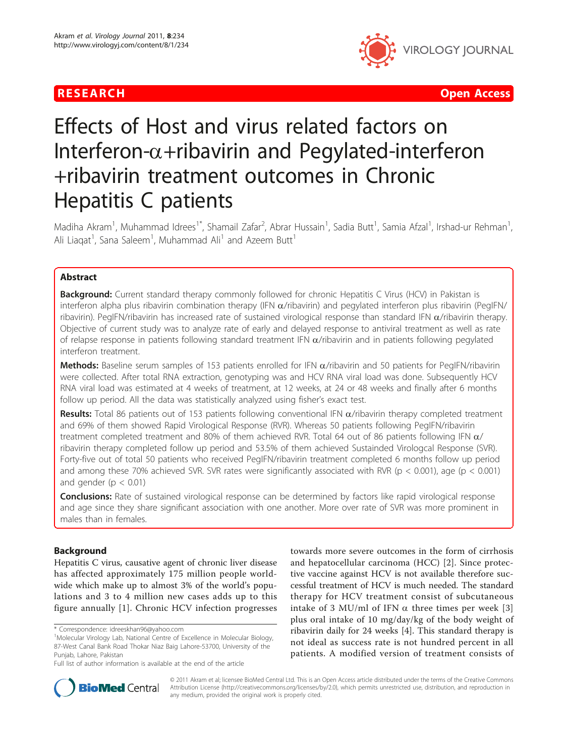# R E S EARCH Open Access



# Effects of Host and virus related factors on Interferon- $\alpha$ +ribavirin and Pegylated-interferon +ribavirin treatment outcomes in Chronic Hepatitis C patients

Madiha Akram<sup>1</sup>, Muhammad Idrees<sup>1\*</sup>, Shamail Zafar<sup>2</sup>, Abrar Hussain<sup>1</sup>, Sadia Butt<sup>1</sup>, Samia Afzal<sup>1</sup>, Irshad-ur Rehman<sup>1</sup> , Ali Liaqat<sup>1</sup>, Sana Saleem<sup>1</sup>, Muhammad Ali<sup>1</sup> and Azeem Butt<sup>1</sup>

# Abstract

**Background:** Current standard therapy commonly followed for chronic Hepatitis C Virus (HCV) in Pakistan is interferon alpha plus ribavirin combination therapy (IFN  $\alpha$ /ribavirin) and pegylated interferon plus ribavirin (PegIFN/ ribavirin). PegIFN/ribavirin has increased rate of sustained virological response than standard IFN  $\alpha$ /ribavirin therapy. Objective of current study was to analyze rate of early and delayed response to antiviral treatment as well as rate of relapse response in patients following standard treatment IFN  $\alpha$ /ribavirin and in patients following pegylated interferon treatment.

Methods: Baseline serum samples of 153 patients enrolled for IFN  $\alpha$ /ribavirin and 50 patients for PegIFN/ribavirin were collected. After total RNA extraction, genotyping was and HCV RNA viral load was done. Subsequently HCV RNA viral load was estimated at 4 weeks of treatment, at 12 weeks, at 24 or 48 weeks and finally after 6 months follow up period. All the data was statistically analyzed using fisher's exact test.

Results: Total 86 patients out of 153 patients following conventional IFN  $\alpha$ /ribavirin therapy completed treatment and 69% of them showed Rapid Virological Response (RVR). Whereas 50 patients following PegIFN/ribavirin treatment completed treatment and 80% of them achieved RVR. Total 64 out of 86 patients following IFN  $\alpha$ / ribavirin therapy completed follow up period and 53.5% of them achieved Sustainded Virologcal Response (SVR). Forty-five out of total 50 patients who received PegIFN/ribavirin treatment completed 6 months follow up period and among these 70% achieved SVR. SVR rates were significantly associated with RVR ( $p < 0.001$ ), age ( $p < 0.001$ ) and gender ( $p < 0.01$ )

**Conclusions:** Rate of sustained virological response can be determined by factors like rapid virological response and age since they share significant association with one another. More over rate of SVR was more prominent in males than in females.

# Background

Hepatitis C virus, causative agent of chronic liver disease has affected approximately 175 million people worldwide which make up to almost 3% of the world's populations and 3 to 4 million new cases adds up to this figure annually [[1\]](#page-5-0). Chronic HCV infection progresses

towards more severe outcomes in the form of cirrhosis and hepatocellular carcinoma (HCC) [\[2](#page-5-0)]. Since protective vaccine against HCV is not available therefore successful treatment of HCV is much needed. The standard therapy for HCV treatment consist of subcutaneous intake of [3](#page-5-0) MU/ml of IFN  $\alpha$  three times per week [3] plus oral intake of 10 mg/day/kg of the body weight of ribavirin daily for 24 weeks [\[4](#page-5-0)]. This standard therapy is not ideal as success rate is not hundred percent in all patients. A modified version of treatment consists of



© 2011 Akram et al; licensee BioMed Central Ltd. This is an Open Access article distributed under the terms of the Creative Commons Attribution License [\(http://creativecommons.org/licenses/by/2.0](http://creativecommons.org/licenses/by/2.0)), which permits unrestricted use, distribution, and reproduction in any medium, provided the original work is properly cited.

<sup>\*</sup> Correspondence: [idreeskhan96@yahoo.com](mailto:idreeskhan96@yahoo.com)

<sup>&</sup>lt;sup>1</sup>Molecular Virology Lab, National Centre of Excellence in Molecular Biology, 87-West Canal Bank Road Thokar Niaz Baig Lahore-53700, University of the Punjab, Lahore, Pakistan

Full list of author information is available at the end of the article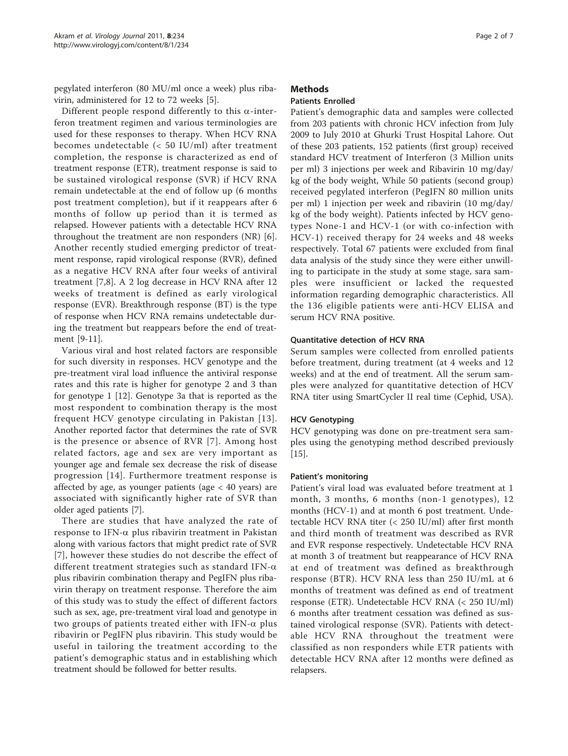pegylated interferon (80 MU/ml once a week) plus ribavirin, administered for 12 to 72 weeks [[5](#page-5-0)].

Different people respond differently to this  $\alpha$ -interferon treatment regimen and various terminologies are used for these responses to therapy. When HCV RNA becomes undetectable (< 50 IU/ml) after treatment completion, the response is characterized as end of treatment response (ETR), treatment response is said to be sustained virological response (SVR) if HCV RNA remain undetectable at the end of follow up (6 months post treatment completion), but if it reappears after 6 months of follow up period than it is termed as relapsed. However patients with a detectable HCV RNA throughout the treatment are non responders (NR) [[6](#page-5-0)]. Another recently studied emerging predictor of treatment response, rapid virological response (RVR), defined as a negative HCV RNA after four weeks of antiviral treatment [[7,8](#page-5-0)]. A 2 log decrease in HCV RNA after 12 weeks of treatment is defined as early virological response (EVR). Breakthrough response (BT) is the type of response when HCV RNA remains undetectable during the treatment but reappears before the end of treatment [\[9](#page-5-0)-[11](#page-5-0)].

Various viral and host related factors are responsible for such diversity in responses. HCV genotype and the pre-treatment viral load influence the antiviral response rates and this rate is higher for genotype 2 and 3 than for genotype 1 [[12\]](#page-5-0). Genotype 3a that is reported as the most respondent to combination therapy is the most frequent HCV genotype circulating in Pakistan [[13\]](#page-5-0). Another reported factor that determines the rate of SVR is the presence or absence of RVR [[7\]](#page-5-0). Among host related factors, age and sex are very important as younger age and female sex decrease the risk of disease progression [[14\]](#page-5-0). Furthermore treatment response is affected by age, as younger patients (age < 40 years) are associated with significantly higher rate of SVR than older aged patients [[7\]](#page-5-0).

There are studies that have analyzed the rate of response to IFN- $\alpha$  plus ribavirin treatment in Pakistan along with various factors that might predict rate of SVR [[7](#page-5-0)], however these studies do not describe the effect of different treatment strategies such as standard IFN- $\alpha$ plus ribavirin combination therapy and PegIFN plus ribavirin therapy on treatment response. Therefore the aim of this study was to study the effect of different factors such as sex, age, pre-treatment viral load and genotype in two groups of patients treated either with IFN- $\alpha$  plus ribavirin or PegIFN plus ribavirin. This study would be useful in tailoring the treatment according to the patient's demographic status and in establishing which treatment should be followed for better results.

# Methods

# Patients Enrolled

Patient's demographic data and samples were collected from 203 patients with chronic HCV infection from July 2009 to July 2010 at Ghurki Trust Hospital Lahore. Out of these 203 patients, 152 patients (first group) received standard HCV treatment of Interferon (3 Million units per ml) 3 injections per week and Ribavirin 10 mg/day/ kg of the body weight, While 50 patients (second group) received pegylated interferon (PegIFN 80 million units per ml) 1 injection per week and ribavirin (10 mg/day/ kg of the body weight). Patients infected by HCV genotypes None-1 and HCV-1 (or with co-infection with HCV-1) received therapy for 24 weeks and 48 weeks respectively. Total 67 patients were excluded from final data analysis of the study since they were either unwilling to participate in the study at some stage, sara samples were insufficient or lacked the requested information regarding demographic characteristics. All the 136 eligible patients were anti-HCV ELISA and serum HCV RNA positive.

## Quantitative detection of HCV RNA

Serum samples were collected from enrolled patients before treatment, during treatment (at 4 weeks and 12 weeks) and at the end of treatment. All the serum samples were analyzed for quantitative detection of HCV RNA titer using SmartCycler II real time (Cephid, USA).

## HCV Genotyping

HCV genotyping was done on pre-treatment sera samples using the genotyping method described previously [[15\]](#page-5-0).

#### Patient's monitoring

Patient's viral load was evaluated before treatment at 1 month, 3 months, 6 months (non-1 genotypes), 12 months (HCV-1) and at month 6 post treatment. Undetectable HCV RNA titer (< 250 IU/ml) after first month and third month of treatment was described as RVR and EVR response respectively. Undetectable HCV RNA at month 3 of treatment but reappearance of HCV RNA at end of treatment was defined as breakthrough response (BTR). HCV RNA less than 250 IU/mL at 6 months of treatment was defined as end of treatment response (ETR). Undetectable HCV RNA (< 250 IU/ml) 6 months after treatment cessation was defined as sustained virological response (SVR). Patients with detectable HCV RNA throughout the treatment were classified as non responders while ETR patients with detectable HCV RNA after 12 months were defined as relapsers.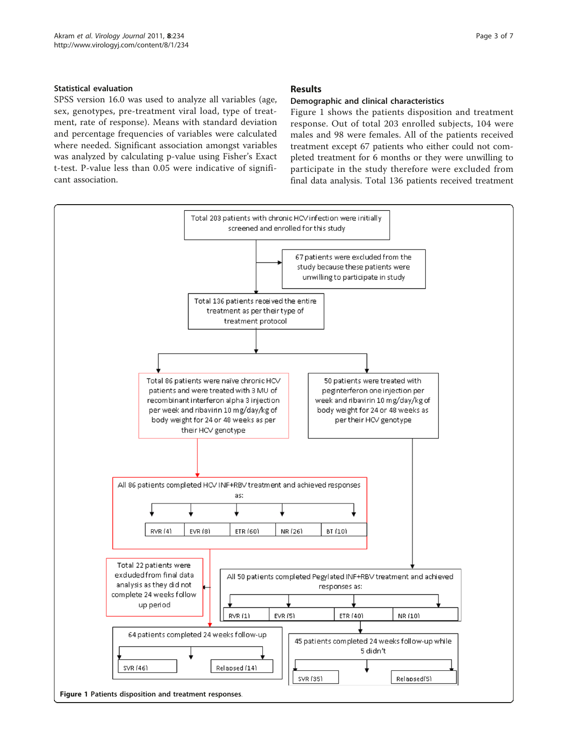# Statistical evaluation

SPSS version 16.0 was used to analyze all variables (age, sex, genotypes, pre-treatment viral load, type of treatment, rate of response). Means with standard deviation and percentage frequencies of variables were calculated where needed. Significant association amongst variables was analyzed by calculating p-value using Fisher's Exact t-test. P-value less than 0.05 were indicative of significant association.

# Results

## Demographic and clinical characteristics

Figure 1 shows the patients disposition and treatment response. Out of total 203 enrolled subjects, 104 were males and 98 were females. All of the patients received treatment except 67 patients who either could not completed treatment for 6 months or they were unwilling to participate in the study therefore were excluded from final data analysis. Total 136 patients received treatment

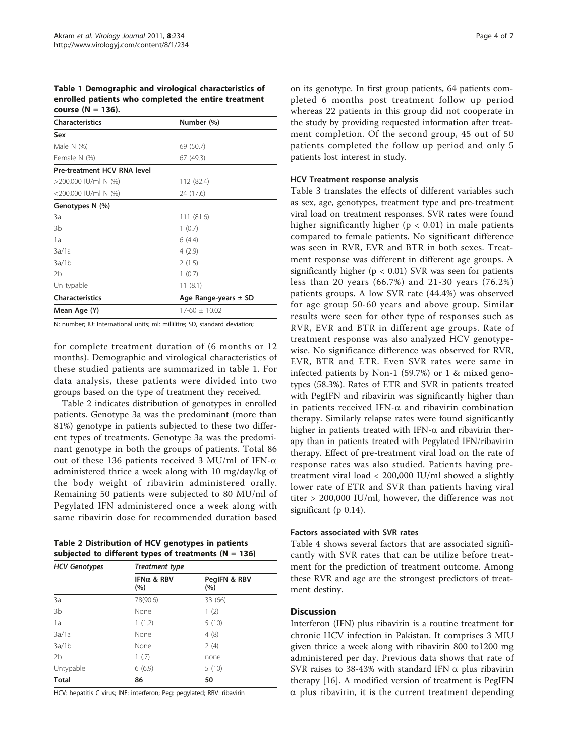Table 1 Demographic and virological characteristics of enrolled patients who completed the entire treatment course  $(N = 136)$ .

| <b>Characteristics</b>      | Number (%)               |  |  |  |  |
|-----------------------------|--------------------------|--|--|--|--|
| Sex                         |                          |  |  |  |  |
| Male $N$ (%)                | 69 (50.7)                |  |  |  |  |
| Female N (%)                | 67 (49.3)                |  |  |  |  |
| Pre-treatment HCV RNA level |                          |  |  |  |  |
| >200,000 IU/ml N (%)        | 112 (82.4)               |  |  |  |  |
| <200,000 IU/ml N (%)        | 24 (17.6)                |  |  |  |  |
| Genotypes N (%)             |                          |  |  |  |  |
| 3a                          | 111 (81.6)               |  |  |  |  |
| 3b                          | 1(0.7)                   |  |  |  |  |
| 1a                          | 6(4.4)                   |  |  |  |  |
| 3a/1a                       | 4(2.9)                   |  |  |  |  |
| 3a/1b                       | 2(1.5)                   |  |  |  |  |
| 2 <sub>b</sub>              | 1(0.7)                   |  |  |  |  |
| Un typable                  | 11(8.1)                  |  |  |  |  |
| <b>Characteristics</b>      | Age Range-years $\pm$ SD |  |  |  |  |
| Mean Age (Y)                | $17-60 \pm 10.02$        |  |  |  |  |
|                             |                          |  |  |  |  |

N: number; IU: International units; ml: millilitre; SD, standard deviation;

for complete treatment duration of (6 months or 12 months). Demographic and virological characteristics of these studied patients are summarized in table 1. For data analysis, these patients were divided into two groups based on the type of treatment they received.

Table 2 indicates distribution of genotypes in enrolled patients. Genotype 3a was the predominant (more than 81%) genotype in patients subjected to these two different types of treatments. Genotype 3a was the predominant genotype in both the groups of patients. Total 86 out of these 136 patients received 3 MU/ml of IFN- $\alpha$ administered thrice a week along with 10 mg/day/kg of the body weight of ribavirin administered orally. Remaining 50 patients were subjected to 80 MU/ml of Pegylated IFN administered once a week along with same ribavirin dose for recommended duration based

Table 2 Distribution of HCV genotypes in patients subjected to different types of treatments ( $N = 136$ )

| <b>HCV Genotypes</b> | <b>Treatment type</b>     |                     |  |  |
|----------------------|---------------------------|---------------------|--|--|
|                      | IFN $\alpha$ & RBV<br>(%) | PegIFN & RBV<br>(%) |  |  |
| 3a                   | 78(90.6)                  | 33 (66)             |  |  |
| 3 <sub>b</sub>       | None                      | 1(2)                |  |  |
| 1a                   | 1(1.2)                    | 5(10)               |  |  |
| 3a/1a                | None                      | 4(8)                |  |  |
| 3a/1b                | None                      | 2(4)                |  |  |
| 2 <sub>b</sub>       | 1(.7)                     | none                |  |  |
| Untypable            | 6(6.9)                    | 5(10)               |  |  |
| <b>Total</b>         | 86                        | 50                  |  |  |

HCV: hepatitis C virus; INF: interferon; Peg: pegylated; RBV: ribavirin

on its genotype. In first group patients, 64 patients completed 6 months post treatment follow up period whereas 22 patients in this group did not cooperate in the study by providing requested information after treatment completion. Of the second group, 45 out of 50 patients completed the follow up period and only 5 patients lost interest in study.

#### HCV Treatment response analysis

Table [3](#page-4-0) translates the effects of different variables such as sex, age, genotypes, treatment type and pre-treatment viral load on treatment responses. SVR rates were found higher significantly higher ( $p < 0.01$ ) in male patients compared to female patients. No significant difference was seen in RVR, EVR and BTR in both sexes. Treatment response was different in different age groups. A significantly higher ( $p < 0.01$ ) SVR was seen for patients less than 20 years (66.7%) and 21-30 years (76.2%) patients groups. A low SVR rate (44.4%) was observed for age group 50-60 years and above group. Similar results were seen for other type of responses such as RVR, EVR and BTR in different age groups. Rate of treatment response was also analyzed HCV genotypewise. No significance difference was observed for RVR, EVR, BTR and ETR. Even SVR rates were same in infected patients by Non-1 (59.7%) or 1 & mixed genotypes (58.3%). Rates of ETR and SVR in patients treated with PegIFN and ribavirin was significantly higher than in patients received IFN- $\alpha$  and ribavirin combination therapy. Similarly relapse rates were found significantly higher in patients treated with IFN- $\alpha$  and ribavirin therapy than in patients treated with Pegylated IFN/ribavirin therapy. Effect of pre-treatment viral load on the rate of response rates was also studied. Patients having pretreatment viral load < 200,000 IU/ml showed a slightly lower rate of ETR and SVR than patients having viral titer > 200,000 IU/ml, however, the difference was not significant (p 0.14).

### Factors associated with SVR rates

Table [4](#page-4-0) shows several factors that are associated significantly with SVR rates that can be utilize before treatment for the prediction of treatment outcome. Among these RVR and age are the strongest predictors of treatment destiny.

#### **Discussion**

Interferon (IFN) plus ribavirin is a routine treatment for chronic HCV infection in Pakistan. It comprises 3 MIU given thrice a week along with ribavirin 800 to1200 mg administered per day. Previous data shows that rate of SVR raises to 38-43% with standard IFN  $\alpha$  plus ribavirin therapy [[16\]](#page-6-0). A modified version of treatment is PegIFN  $\alpha$  plus ribavirin, it is the current treatment depending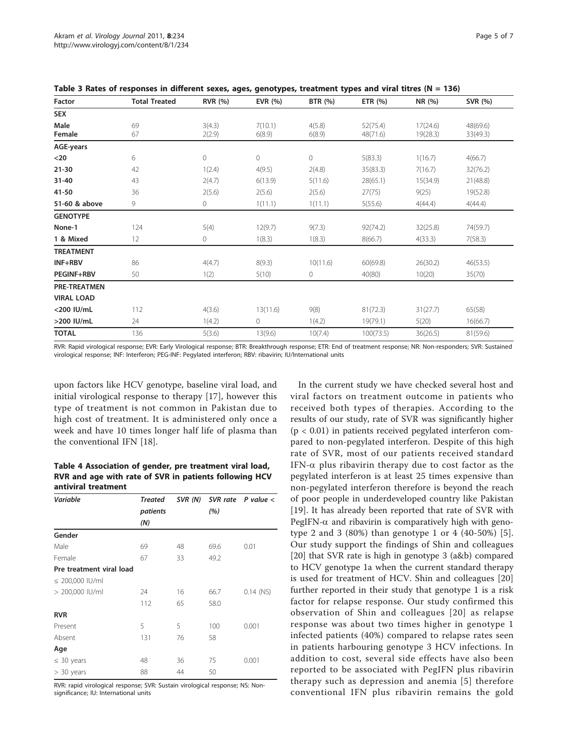| Factor              | <b>Total Treated</b> | <b>RVR</b> (%)   | EVR (%)           | <b>BTR</b> (%)   | ETR $(% )$           | NR (%)               | SVR (%)              |
|---------------------|----------------------|------------------|-------------------|------------------|----------------------|----------------------|----------------------|
| <b>SEX</b>          |                      |                  |                   |                  |                      |                      |                      |
| Male<br>Female      | 69<br>67             | 3(4.3)<br>2(2.9) | 7(10.1)<br>6(8.9) | 4(5.8)<br>6(8.9) | 52(75.4)<br>48(71.6) | 17(24.6)<br>19(28.3) | 48(69.6)<br>33(49.3) |
| AGE-years           |                      |                  |                   |                  |                      |                      |                      |
| $20$                | 6                    | $\circ$          | 0                 | 0                | 5(83.3)              | 1(16.7)              | 4(66.7)              |
| $21 - 30$           | 42                   | 1(2.4)           | 4(9.5)            | 2(4.8)           | 35(83.3)             | 7(16.7)              | 32(76.2)             |
| $31 - 40$           | 43                   | 2(4.7)           | 6(13.9)           | 5(11.6)          | 28(65.1)             | 15(34.9)             | 21(48.8)             |
| 41-50               | 36                   | 2(5.6)           | 2(5.6)            | 2(5.6)           | 27(75)               | 9(25)                | 19(52.8)             |
| 51-60 & above       | 9                    | 0                | 1(11.1)           | 1(11.1)          | 5(55.6)              | 4(44.4)              | 4(44.4)              |
| <b>GENOTYPE</b>     |                      |                  |                   |                  |                      |                      |                      |
| None-1              | 124                  | 5(4)             | 12(9.7)           | 9(7.3)           | 92(74.2)             | 32(25.8)             | 74(59.7)             |
| 1 & Mixed           | 12                   | $\mathbf 0$      | 1(8.3)            | 1(8.3)           | 8(66.7)              | 4(33.3)              | 7(58.3)              |
| <b>TREATMENT</b>    |                      |                  |                   |                  |                      |                      |                      |
| INF+RBV             | 86                   | 4(4.7)           | 8(9.3)            | 10(11.6)         | 60(69.8)             | 26(30.2)             | 46(53.5)             |
| <b>PEGINF+RBV</b>   | 50                   | 1(2)             | 5(10)             | 0                | 40(80)               | 10(20)               | 35(70)               |
| <b>PRE-TREATMEN</b> |                      |                  |                   |                  |                      |                      |                      |
| <b>VIRAL LOAD</b>   |                      |                  |                   |                  |                      |                      |                      |
| <200 IU/mL          | 112                  | 4(3.6)           | 13(11.6)          | 9(8)             | 81(72.3)             | 31(27.7)             | 65(58)               |
| >200 IU/mL          | 24                   | 1(4.2)           | 0                 | 1(4.2)           | 19(79.1)             | 5(20)                | 16(66.7)             |
| <b>TOTAL</b>        | 136                  | 5(3.6)           | 13(9.6)           | 10(7.4)          | 100(73.5)            | 36(26.5)             | 81(59.6)             |

<span id="page-4-0"></span>Table 3 Rates of responses in different sexes, ages, genotypes, treatment types and viral titres (N = 136)

RVR: Rapid virological response; EVR: Early Virological response; BTR: Breakthrough response; ETR: End of treatment response; NR: Non-responders; SVR: Sustained virological response; INF: Interferon; PEG-INF: Pegylated interferon; RBV: ribavirin; IU/International units

upon factors like HCV genotype, baseline viral load, and initial virological response to therapy [[17\]](#page-6-0), however this type of treatment is not common in Pakistan due to high cost of treatment. It is administered only once a week and have 10 times longer half life of plasma than the conventional IFN [\[18](#page-6-0)].

Table 4 Association of gender, pre treatment viral load, RVR and age with rate of SVR in patients following HCV antiviral treatment

| <b>Variable</b>          | <b>Treated</b> | SVR (N) |      | SVR rate $P$ value $\lt$ |
|--------------------------|----------------|---------|------|--------------------------|
|                          | patients       |         | (%)  |                          |
|                          | (N)            |         |      |                          |
| Gender                   |                |         |      |                          |
| Male                     | 69             | 48      | 69.6 | 0.01                     |
| Female                   | 67             | 33      | 49.2 |                          |
| Pre treatment viral load |                |         |      |                          |
| $\leq$ 200,000 IU/ml     |                |         |      |                          |
| > 200,000 IU/ml          | 24             | 16      | 66.7 | $0.14$ (NS)              |
|                          | 112            | 65      | 58.0 |                          |
| <b>RVR</b>               |                |         |      |                          |
| Present                  | 5              | 5       | 100  | 0.001                    |
| Absent                   | 131            | 76      | 58   |                          |
| Age                      |                |         |      |                          |
| $\leq 30$ years          | 48             | 36      | 75   | 0.001                    |
| $> 30$ years             | 88             | 44      | 50   |                          |

RVR: rapid virological response; SVR: Sustain virological response; NS: Nonsignificance; IU: International units

In the current study we have checked several host and viral factors on treatment outcome in patients who received both types of therapies. According to the results of our study, rate of SVR was significantly higher  $(p < 0.01)$  in patients received pegylated interferon compared to non-pegylated interferon. Despite of this high rate of SVR, most of our patients received standard IFN- $\alpha$  plus ribavirin therapy due to cost factor as the pegylated interferon is at least 25 times expensive than non-pegylated interferon therefore is beyond the reach of poor people in underdeveloped country like Pakistan [[19\]](#page-6-0). It has already been reported that rate of SVR with PegIFN- $\alpha$  and ribavirin is comparatively high with genotype 2 and 3 (80%) than genotype 1 or 4 (40-50%) [[5](#page-5-0)]. Our study support the findings of Shin and colleagues [[20\]](#page-6-0) that SVR rate is high in genotype 3 (a&b) compared to HCV genotype 1a when the current standard therapy is used for treatment of HCV. Shin and colleagues [\[20](#page-6-0)] further reported in their study that genotype 1 is a risk factor for relapse response. Our study confirmed this observation of Shin and colleagues [[20\]](#page-6-0) as relapse response was about two times higher in genotype 1 infected patients (40%) compared to relapse rates seen in patients harbouring genotype 3 HCV infections. In addition to cost, several side effects have also been reported to be associated with PegIFN plus ribavirin therapy such as depression and anemia [\[5\]](#page-5-0) therefore conventional IFN plus ribavirin remains the gold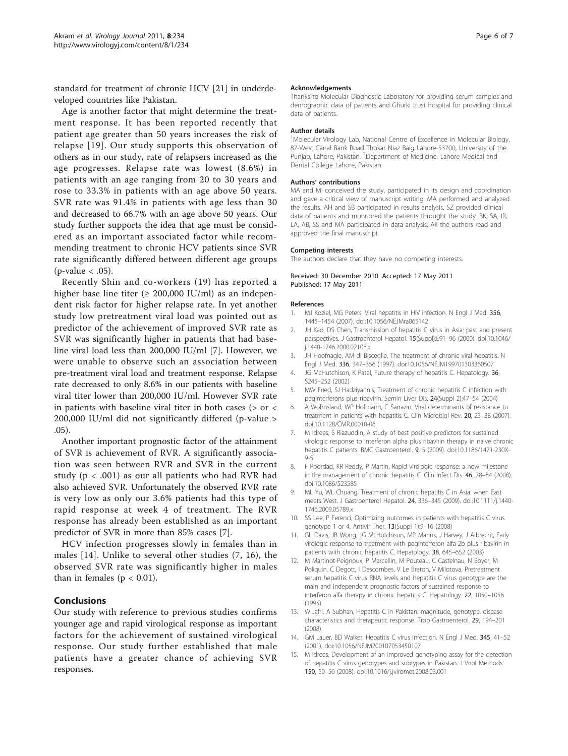<span id="page-5-0"></span>standard for treatment of chronic HCV [[21\]](#page-6-0) in underdeveloped countries like Pakistan.

Age is another factor that might determine the treatment response. It has been reported recently that patient age greater than 50 years increases the risk of relapse [[19\]](#page-6-0). Our study supports this observation of others as in our study, rate of relapsers increased as the age progresses. Relapse rate was lowest (8.6%) in patients with an age ranging from 20 to 30 years and rose to 33.3% in patients with an age above 50 years. SVR rate was 91.4% in patients with age less than 30 and decreased to 66.7% with an age above 50 years. Our study further supports the idea that age must be considered as an important associated factor while recommending treatment to chronic HCV patients since SVR rate significantly differed between different age groups  $(p$ -value  $< .05$ ).

Recently Shin and co-workers (19) has reported a higher base line titer ( $\geq 200,000$  IU/ml) as an independent risk factor for higher relapse rate. In yet another study low pretreatment viral load was pointed out as predictor of the achievement of improved SVR rate as SVR was significantly higher in patients that had baseline viral load less than 200,000 IU/ml [7]. However, we were unable to observe such an association between pre-treatment viral load and treatment response. Relapse rate decreased to only 8.6% in our patients with baseline viral titer lower than 200,000 IU/ml. However SVR rate in patients with baseline viral titer in both cases ( $>$  or  $<$ 200,000 IU/ml did not significantly differed (p-value > .05).

Another important prognostic factor of the attainment of SVR is achievement of RVR. A significantly association was seen between RVR and SVR in the current study ( $p < .001$ ) as our all patients who had RVR had also achieved SVR. Unfortunately the observed RVR rate is very low as only our 3.6% patients had this type of rapid response at week 4 of treatment. The RVR response has already been established as an important predictor of SVR in more than 85% cases [7].

HCV infection progresses slowly in females than in males [14]. Unlike to several other studies (7, 16), the observed SVR rate was significantly higher in males than in females ( $p < 0.01$ ).

## Conclusions

Our study with reference to previous studies confirms younger age and rapid virological response as important factors for the achievement of sustained virological response. Our study further established that male patients have a greater chance of achieving SVR responses.

#### Acknowledgements

Thanks to Molecular Diagnostic Laboratory for providing serum samples and demographic data of patients and Ghurki trust hospital for providing clinical data of patients.

#### Author details

<sup>1</sup>Molecular Virology Lab, National Centre of Excellence in Molecular Biology 87-West Canal Bank Road Thokar Niaz Baig Lahore-53700, University of the Punjab, Lahore, Pakistan. <sup>2</sup>Department of Medicine, Lahore Medical and Dental College Lahore, Pakistan.

#### Authors' contributions

MA and MI conceived the study, participated in its design and coordination and gave a critical view of manuscript writing. MA performed and analyzed the results. AH and SB participated in results analysis. SZ provided clinical data of patients and monitored the patients throught the study. BK, SA, IR, LA, AB, SS and MA participated in data analysis. All the authors read and approved the final manuscript.

#### Competing interests

The authors declare that they have no competing interests.

#### Received: 30 December 2010 Accepted: 17 May 2011 Published: 17 May 2011

#### References

- 1. MJ Koziel, MG Peters[, Viral hepatitis in HIV infection.](http://www.ncbi.nlm.nih.gov/pubmed/17409326?dopt=Abstract) N Engl J Med. 356, 1445–1454 (2007). doi:10.1056/NEJMra065142
- 2. JH Kao, DS Chen[, Transmission of hepatitis C virus in Asia: past and present](http://www.ncbi.nlm.nih.gov/pubmed/10921389?dopt=Abstract) [perspectives.](http://www.ncbi.nlm.nih.gov/pubmed/10921389?dopt=Abstract) J Gastroenterol Hepatol. 15(Suppl):E91–96 (2000). doi:10.1046/ j.1440-1746.2000.02108.x
- 3. JH Hoofnagle, AM di Bisceglie[, The treatment of chronic viral hepatitis.](http://www.ncbi.nlm.nih.gov/pubmed/9011789?dopt=Abstract) N Engl J Med. 336, 347–356 (1997). doi:10.1056/NEJM199701303360507
- 4. JG McHutchison, K Patel[, Future therapy of hepatitis C.](http://www.ncbi.nlm.nih.gov/pubmed/12407600?dopt=Abstract) Hepatology. 36, S245–252 (2002)
- 5. MW Fried, SJ Hadziyannis, [Treatment of chronic hepatitis C infection with](http://www.ncbi.nlm.nih.gov/pubmed/15346246?dopt=Abstract) [peginterferons plus ribavirin.](http://www.ncbi.nlm.nih.gov/pubmed/15346246?dopt=Abstract) Semin Liver Dis. 24(Suppl 2):47–54 (2004)
- 6. A Wohnsland, WP Hofmann, C Sarrazin, [Viral determinants of resistance to](http://www.ncbi.nlm.nih.gov/pubmed/17223621?dopt=Abstract) [treatment in patients with hepatitis C.](http://www.ncbi.nlm.nih.gov/pubmed/17223621?dopt=Abstract) Clin Microbiol Rev. 20, 23–38 (2007). doi:10.1128/CMR.00010-06
- 7. M Idrees, S Riazuddin[, A study of best positive predictors for sustained](http://www.ncbi.nlm.nih.gov/pubmed/19152711?dopt=Abstract) [virologic response to interferon alpha plus ribavirin therapy in naive chronic](http://www.ncbi.nlm.nih.gov/pubmed/19152711?dopt=Abstract) [hepatitis C patients.](http://www.ncbi.nlm.nih.gov/pubmed/19152711?dopt=Abstract) BMC Gastroenterol. 9, 5 (2009). doi:10.1186/1471-230X-9-5
- 8. F Poordad, KR Reddy, P Martin, [Rapid virologic response: a new milestone](http://www.ncbi.nlm.nih.gov/pubmed/18171217?dopt=Abstract) [in the management of chronic hepatitis C.](http://www.ncbi.nlm.nih.gov/pubmed/18171217?dopt=Abstract) Clin Infect Dis. 46, 78–84 (2008). doi:10.1086/523585
- 9. ML Yu, WL Chuang[, Treatment of chronic hepatitis C in Asia: when East](http://www.ncbi.nlm.nih.gov/pubmed/19335784?dopt=Abstract) [meets West.](http://www.ncbi.nlm.nih.gov/pubmed/19335784?dopt=Abstract) J Gastroenterol Hepatol. 24, 336–345 (2009). doi:10.1111/j.1440- 1746.2009.05789.x
- 10. SS Lee, P Ferenci, [Optimizing outcomes in patients with hepatitis C virus](http://www.ncbi.nlm.nih.gov/pubmed/18432158?dopt=Abstract) [genotype 1 or 4.](http://www.ncbi.nlm.nih.gov/pubmed/18432158?dopt=Abstract) Antivir Ther. 13(Suppl 1):9–16 (2008)
- 11. GL Davis, JB Wong, JG McHutchison, MP Manns, J Harvey, J Albrecht, [Early](http://www.ncbi.nlm.nih.gov/pubmed/12939591?dopt=Abstract) [virologic response to treatment with peginterferon alfa-2b plus ribavirin in](http://www.ncbi.nlm.nih.gov/pubmed/12939591?dopt=Abstract) [patients with chronic hepatitis C.](http://www.ncbi.nlm.nih.gov/pubmed/12939591?dopt=Abstract) Hepatology. 38, 645–652 (2003)
- 12. M Martinot-Peignoux, P Marcellin, M Pouteau, C Castelnau, N Boyer, M Poliquin, C Degott, I Descombes, V Le Breton, V Milotova[, Pretreatment](http://www.ncbi.nlm.nih.gov/pubmed/7557850?dopt=Abstract) [serum hepatitis C virus RNA levels and hepatitis C virus genotype are the](http://www.ncbi.nlm.nih.gov/pubmed/7557850?dopt=Abstract) [main and independent prognostic factors of sustained response to](http://www.ncbi.nlm.nih.gov/pubmed/7557850?dopt=Abstract) [interferon alfa therapy in chronic hepatitis C.](http://www.ncbi.nlm.nih.gov/pubmed/7557850?dopt=Abstract) Hepatology. 22, 1050–1056 (1995)
- 13. W Jafri, A Subhan, [Hepatitis C in Pakistan: magnitude, genotype, disease](http://www.ncbi.nlm.nih.gov/pubmed/19323087?dopt=Abstract) [characteristics and therapeutic response.](http://www.ncbi.nlm.nih.gov/pubmed/19323087?dopt=Abstract) Trop Gastroenterol. 29, 194–201 (2008)
- 14. GM Lauer, BD Walker[, Hepatitis C virus infection.](http://www.ncbi.nlm.nih.gov/pubmed/11439948?dopt=Abstract) N Engl J Med. 345, 41-52 (2001). doi:10.1056/NEJM200107053450107
- 15. M Idrees[, Development of an improved genotyping assay for the detection](http://www.ncbi.nlm.nih.gov/pubmed/18423633?dopt=Abstract) [of hepatitis C virus genotypes and subtypes in Pakistan.](http://www.ncbi.nlm.nih.gov/pubmed/18423633?dopt=Abstract) J Virol Methods. 150, 50–56 (2008). doi:10.1016/j.jviromet.2008.03.001